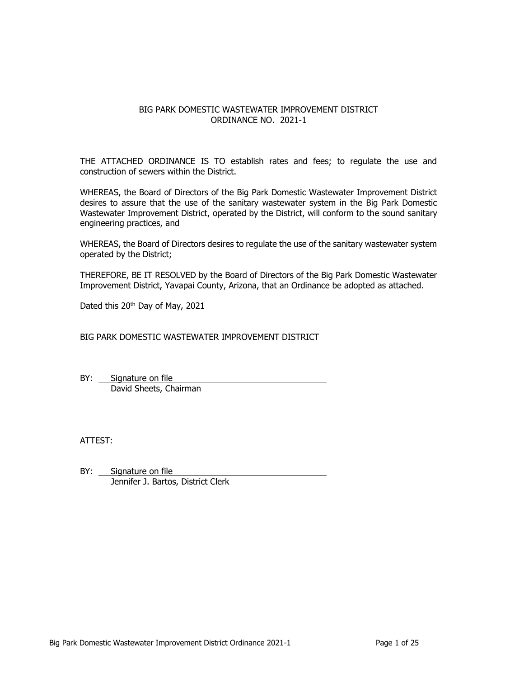## BIG PARK DOMESTIC WASTEWATER IMPROVEMENT DISTRICT ORDINANCE NO. 2021-1

THE ATTACHED ORDINANCE IS TO establish rates and fees; to regulate the use and construction of sewers within the District.

WHEREAS, the Board of Directors of the Big Park Domestic Wastewater Improvement District desires to assure that the use of the sanitary wastewater system in the Big Park Domestic Wastewater Improvement District, operated by the District, will conform to the sound sanitary engineering practices, and

WHEREAS, the Board of Directors desires to regulate the use of the sanitary wastewater system operated by the District;

THEREFORE, BE IT RESOLVED by the Board of Directors of the Big Park Domestic Wastewater Improvement District, Yavapai County, Arizona, that an Ordinance be adopted as attached.

Dated this 20<sup>th</sup> Day of May, 2021

BIG PARK DOMESTIC WASTEWATER IMPROVEMENT DISTRICT

BY: Signature on file David Sheets, Chairman

ATTEST:

BY: Signature on file Jennifer J. Bartos, District Clerk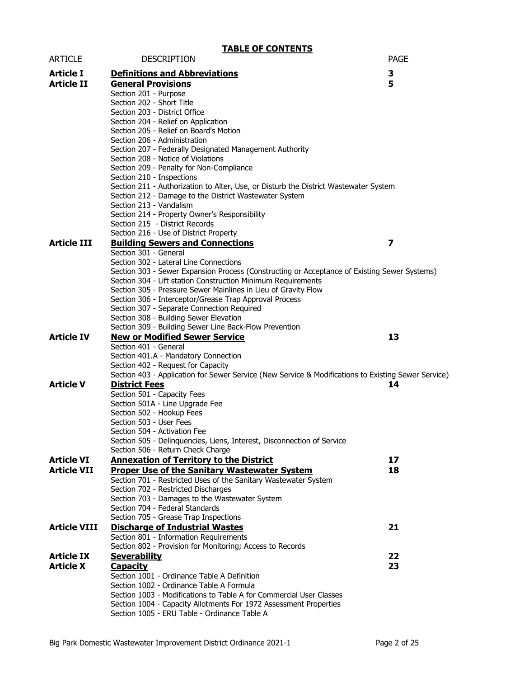|                     | <b>TABLE OF CONTENTS</b>                                                                                          |             |
|---------------------|-------------------------------------------------------------------------------------------------------------------|-------------|
| <b>ARTICLE</b>      | <b>DESCRIPTION</b>                                                                                                | <b>PAGE</b> |
| <b>Article I</b>    | <b>Definitions and Abbreviations</b>                                                                              | 3           |
| <b>Article II</b>   | <b>General Provisions</b>                                                                                         | 5           |
|                     | Section 201 - Purpose                                                                                             |             |
|                     | Section 202 - Short Title                                                                                         |             |
|                     | Section 203 - District Office                                                                                     |             |
|                     | Section 204 - Relief on Application                                                                               |             |
|                     | Section 205 - Relief on Board's Motion                                                                            |             |
|                     | Section 206 - Administration                                                                                      |             |
|                     | Section 207 - Federally Designated Management Authority                                                           |             |
|                     | Section 208 - Notice of Violations                                                                                |             |
|                     | Section 209 - Penalty for Non-Compliance                                                                          |             |
|                     | Section 210 - Inspections<br>Section 211 - Authorization to Alter, Use, or Disturb the District Wastewater System |             |
|                     | Section 212 - Damage to the District Wastewater System                                                            |             |
|                     | Section 213 - Vandalism                                                                                           |             |
|                     | Section 214 - Property Owner's Responsibility                                                                     |             |
|                     | Section 215 - District Records                                                                                    |             |
|                     | Section 216 - Use of District Property                                                                            |             |
| <b>Article III</b>  | <b>Building Sewers and Connections</b>                                                                            | 7           |
|                     | Section 301 - General                                                                                             |             |
|                     | Section 302 - Lateral Line Connections                                                                            |             |
|                     | Section 303 - Sewer Expansion Process (Constructing or Acceptance of Existing Sewer Systems)                      |             |
|                     | Section 304 - Lift station Construction Minimum Requirements                                                      |             |
|                     | Section 305 - Pressure Sewer Mainlines in Lieu of Gravity Flow                                                    |             |
|                     | Section 306 - Interceptor/Grease Trap Approval Process<br>Section 307 - Separate Connection Required              |             |
|                     | Section 308 - Building Sewer Elevation                                                                            |             |
|                     | Section 309 - Building Sewer Line Back-Flow Prevention                                                            |             |
| <b>Article IV</b>   | <b>New or Modified Sewer Service</b>                                                                              | 13          |
|                     | Section 401 - General                                                                                             |             |
|                     | Section 401.A - Mandatory Connection                                                                              |             |
|                     | Section 402 - Request for Capacity                                                                                |             |
|                     | Section 403 - Application for Sewer Service (New Service & Modifications to Existing Sewer Service)               |             |
| <b>Article V</b>    | <b>District Fees</b>                                                                                              | 14          |
|                     | Section 501 - Capacity Fees                                                                                       |             |
|                     | Section 501A - Line Upgrade Fee                                                                                   |             |
|                     | Section 502 - Hookup Fees                                                                                         |             |
|                     | Section 503 - User Fees                                                                                           |             |
|                     | Section 504 - Activation Fee<br>Section 505 - Delinquencies, Liens, Interest, Disconnection of Service            |             |
|                     | Section 506 - Return Check Charge                                                                                 |             |
| <b>Article VI</b>   | <b>Annexation of Territory to the District</b>                                                                    | 17          |
| <b>Article VII</b>  | <b>Proper Use of the Sanitary Wastewater System</b>                                                               | 18          |
|                     | Section 701 - Restricted Uses of the Sanitary Wastewater System                                                   |             |
|                     | Section 702 - Restricted Discharges                                                                               |             |
|                     | Section 703 - Damages to the Wastewater System                                                                    |             |
|                     | Section 704 - Federal Standards                                                                                   |             |
|                     | Section 705 - Grease Trap Inspections                                                                             |             |
| <b>Article VIII</b> | <b>Discharge of Industrial Wastes</b>                                                                             | 21          |
|                     | Section 801 - Information Requirements                                                                            |             |
|                     | Section 802 - Provision for Monitoring; Access to Records                                                         |             |
| <b>Article IX</b>   | <b>Severability</b>                                                                                               | 22          |
| <b>Article X</b>    | <b>Capacity</b>                                                                                                   | 23          |
|                     | Section 1001 - Ordinance Table A Definition                                                                       |             |
|                     | Section 1002 - Ordinance Table A Formula                                                                          |             |
|                     | Section 1003 - Modifications to Table A for Commercial User Classes                                               |             |
|                     | Section 1004 - Capacity Allotments For 1972 Assessment Properties<br>Section 1005 - ERU Table - Ordinance Table A |             |
|                     |                                                                                                                   |             |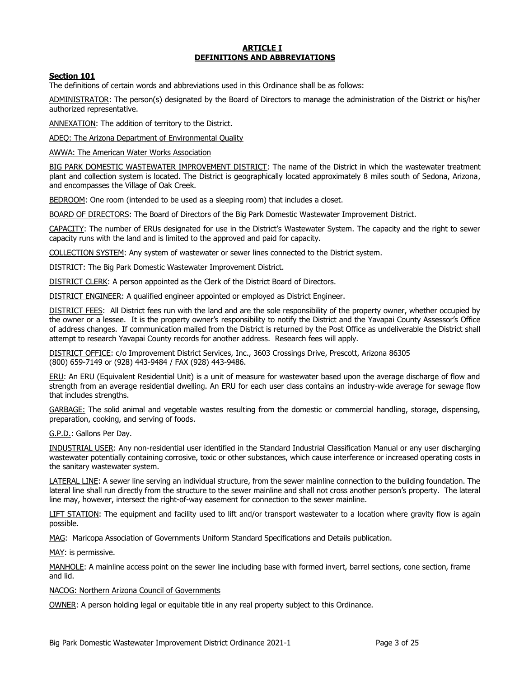### **ARTICLE I DEFINITIONS AND ABBREVIATIONS**

## **Section 101**

The definitions of certain words and abbreviations used in this Ordinance shall be as follows:

ADMINISTRATOR: The person(s) designated by the Board of Directors to manage the administration of the District or his/her authorized representative.

ANNEXATION: The addition of territory to the District.

ADEQ: The Arizona Department of Environmental Quality

AWWA: The American Water Works Association

BIG PARK DOMESTIC WASTEWATER IMPROVEMENT DISTRICT: The name of the District in which the wastewater treatment plant and collection system is located. The District is geographically located approximately 8 miles south of Sedona, Arizona, and encompasses the Village of Oak Creek.

BEDROOM: One room (intended to be used as a sleeping room) that includes a closet.

BOARD OF DIRECTORS: The Board of Directors of the Big Park Domestic Wastewater Improvement District.

CAPACITY: The number of ERUs designated for use in the District's Wastewater System. The capacity and the right to sewer capacity runs with the land and is limited to the approved and paid for capacity.

COLLECTION SYSTEM: Any system of wastewater or sewer lines connected to the District system.

DISTRICT: The Big Park Domestic Wastewater Improvement District.

DISTRICT CLERK: A person appointed as the Clerk of the District Board of Directors.

DISTRICT ENGINEER: A qualified engineer appointed or employed as District Engineer.

DISTRICT FEES: All District fees run with the land and are the sole responsibility of the property owner, whether occupied by the owner or a lessee. It is the property owner's responsibility to notify the District and the Yavapai County Assessor's Office of address changes. If communication mailed from the District is returned by the Post Office as undeliverable the District shall attempt to research Yavapai County records for another address. Research fees will apply.

DISTRICT OFFICE: c/o Improvement District Services, Inc., 3603 Crossings Drive, Prescott, Arizona 86305 (800) 659-7149 or (928) 443-9484 / FAX (928) 443-9486.

ERU: An ERU (Equivalent Residential Unit) is a unit of measure for wastewater based upon the average discharge of flow and strength from an average residential dwelling. An ERU for each user class contains an industry-wide average for sewage flow that includes strengths.

GARBAGE: The solid animal and vegetable wastes resulting from the domestic or commercial handling, storage, dispensing, preparation, cooking, and serving of foods.

G.P.D.: Gallons Per Day.

INDUSTRIAL USER: Any non-residential user identified in the Standard Industrial Classification Manual or any user discharging wastewater potentially containing corrosive, toxic or other substances, which cause interference or increased operating costs in the sanitary wastewater system.

LATERAL LINE: A sewer line serving an individual structure, from the sewer mainline connection to the building foundation. The lateral line shall run directly from the structure to the sewer mainline and shall not cross another person's property. The lateral line may, however, intersect the right-of-way easement for connection to the sewer mainline.

LIFT STATION: The equipment and facility used to lift and/or transport wastewater to a location where gravity flow is again possible.

MAG: Maricopa Association of Governments Uniform Standard Specifications and Details publication.

MAY: is permissive.

MANHOLE: A mainline access point on the sewer line including base with formed invert, barrel sections, cone section, frame and lid.

NACOG: Northern Arizona Council of Governments

OWNER: A person holding legal or equitable title in any real property subject to this Ordinance.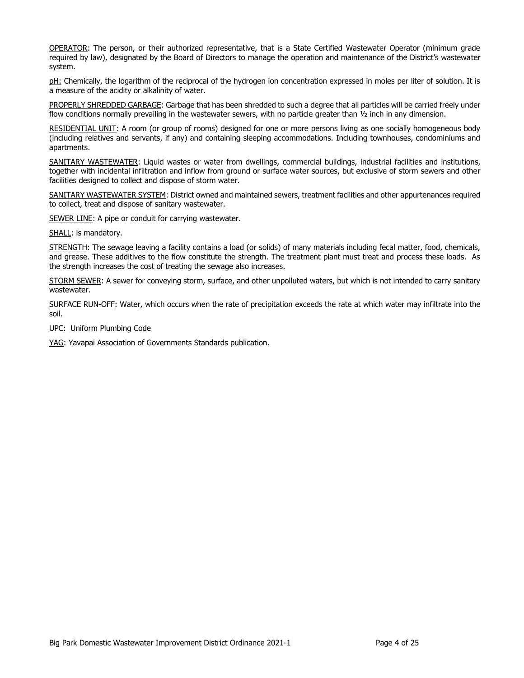OPERATOR: The person, or their authorized representative, that is a State Certified Wastewater Operator (minimum grade required by law), designated by the Board of Directors to manage the operation and maintenance of the District's wastewater system.

pH: Chemically, the logarithm of the reciprocal of the hydrogen ion concentration expressed in moles per liter of solution. It is a measure of the acidity or alkalinity of water.

PROPERLY SHREDDED GARBAGE: Garbage that has been shredded to such a degree that all particles will be carried freely under flow conditions normally prevailing in the wastewater sewers, with no particle greater than  $1/2$  inch in any dimension.

RESIDENTIAL UNIT: A room (or group of rooms) designed for one or more persons living as one socially homogeneous body (including relatives and servants, if any) and containing sleeping accommodations. Including townhouses, condominiums and apartments.

SANITARY WASTEWATER: Liquid wastes or water from dwellings, commercial buildings, industrial facilities and institutions, together with incidental infiltration and inflow from ground or surface water sources, but exclusive of storm sewers and other facilities designed to collect and dispose of storm water.

SANITARY WASTEWATER SYSTEM: District owned and maintained sewers, treatment facilities and other appurtenances required to collect, treat and dispose of sanitary wastewater.

SEWER LINE: A pipe or conduit for carrying wastewater.

SHALL: is mandatory.

STRENGTH: The sewage leaving a facility contains a load (or solids) of many materials including fecal matter, food, chemicals, and grease. These additives to the flow constitute the strength. The treatment plant must treat and process these loads. As the strength increases the cost of treating the sewage also increases.

STORM SEWER: A sewer for conveying storm, surface, and other unpolluted waters, but which is not intended to carry sanitary wastewater.

SURFACE RUN-OFF: Water, which occurs when the rate of precipitation exceeds the rate at which water may infiltrate into the soil.

UPC: Uniform Plumbing Code

YAG: Yavapai Association of Governments Standards publication.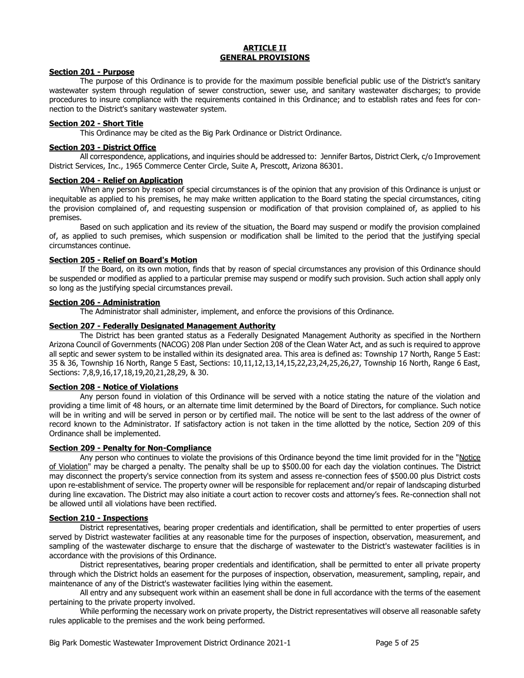### **ARTICLE II GENERAL PROVISIONS**

### **Section 201 - Purpose**

The purpose of this Ordinance is to provide for the maximum possible beneficial public use of the District's sanitary wastewater system through regulation of sewer construction, sewer use, and sanitary wastewater discharges; to provide procedures to insure compliance with the requirements contained in this Ordinance; and to establish rates and fees for connection to the District's sanitary wastewater system.

### **Section 202 - Short Title**

This Ordinance may be cited as the Big Park Ordinance or District Ordinance.

### **Section 203 - District Office**

All correspondence, applications, and inquiries should be addressed to: Jennifer Bartos, District Clerk, c/o Improvement District Services, Inc., 1965 Commerce Center Circle, Suite A, Prescott, Arizona 86301.

### **Section 204 - Relief on Application**

When any person by reason of special circumstances is of the opinion that any provision of this Ordinance is unjust or inequitable as applied to his premises, he may make written application to the Board stating the special circumstances, citing the provision complained of, and requesting suspension or modification of that provision complained of, as applied to his premises.

Based on such application and its review of the situation, the Board may suspend or modify the provision complained of, as applied to such premises, which suspension or modification shall be limited to the period that the justifying special circumstances continue.

### **Section 205 - Relief on Board's Motion**

If the Board, on its own motion, finds that by reason of special circumstances any provision of this Ordinance should be suspended or modified as applied to a particular premise may suspend or modify such provision. Such action shall apply only so long as the justifying special circumstances prevail.

## **Section 206 - Administration**

The Administrator shall administer, implement, and enforce the provisions of this Ordinance.

### **Section 207 - Federally Designated Management Authority**

The District has been granted status as a Federally Designated Management Authority as specified in the Northern Arizona Council of Governments (NACOG) 208 Plan under Section 208 of the Clean Water Act, and as such is required to approve all septic and sewer system to be installed within its designated area. This area is defined as: Township 17 North, Range 5 East: 35 & 36, Township 16 North, Range 5 East, Sections: 10,11,12,13,14,15,22,23,24,25,26,27, Township 16 North, Range 6 East, Sections: 7,8,9,16,17,18,19,20,21,28,29, & 30.

## **Section 208 - Notice of Violations**

Any person found in violation of this Ordinance will be served with a notice stating the nature of the violation and providing a time limit of 48 hours, or an alternate time limit determined by the Board of Directors, for compliance. Such notice will be in writing and will be served in person or by certified mail. The notice will be sent to the last address of the owner of record known to the Administrator. If satisfactory action is not taken in the time allotted by the notice, Section 209 of this Ordinance shall be implemented.

## **Section 209 - Penalty for Non-Compliance**

Any person who continues to violate the provisions of this Ordinance beyond the time limit provided for in the "Notice of Violation" may be charged a penalty. The penalty shall be up to \$500.00 for each day the violation continues. The District may disconnect the property's service connection from its system and assess re-connection fees of \$500.00 plus District costs upon re-establishment of service. The property owner will be responsible for replacement and/or repair of landscaping disturbed during line excavation. The District may also initiate a court action to recover costs and attorney's fees. Re-connection shall not be allowed until all violations have been rectified.

## **Section 210 - Inspections**

District representatives, bearing proper credentials and identification, shall be permitted to enter properties of users served by District wastewater facilities at any reasonable time for the purposes of inspection, observation, measurement, and sampling of the wastewater discharge to ensure that the discharge of wastewater to the District's wastewater facilities is in accordance with the provisions of this Ordinance.

District representatives, bearing proper credentials and identification, shall be permitted to enter all private property through which the District holds an easement for the purposes of inspection, observation, measurement, sampling, repair, and maintenance of any of the District's wastewater facilities lying within the easement.

All entry and any subsequent work within an easement shall be done in full accordance with the terms of the easement pertaining to the private property involved.

While performing the necessary work on private property, the District representatives will observe all reasonable safety rules applicable to the premises and the work being performed.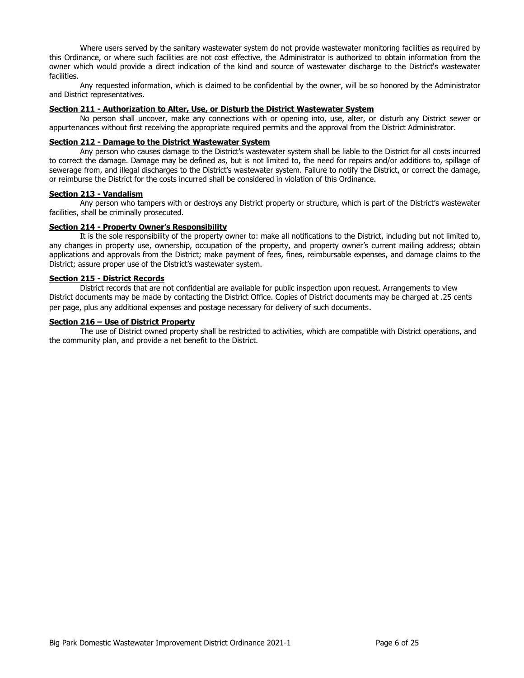Where users served by the sanitary wastewater system do not provide wastewater monitoring facilities as required by this Ordinance, or where such facilities are not cost effective, the Administrator is authorized to obtain information from the owner which would provide a direct indication of the kind and source of wastewater discharge to the District's wastewater facilities.

Any requested information, which is claimed to be confidential by the owner, will be so honored by the Administrator and District representatives.

## **Section 211 - Authorization to Alter, Use, or Disturb the District Wastewater System**

No person shall uncover, make any connections with or opening into, use, alter, or disturb any District sewer or appurtenances without first receiving the appropriate required permits and the approval from the District Administrator.

### **Section 212 - Damage to the District Wastewater System**

Any person who causes damage to the District's wastewater system shall be liable to the District for all costs incurred to correct the damage. Damage may be defined as, but is not limited to, the need for repairs and/or additions to, spillage of sewerage from, and illegal discharges to the District's wastewater system. Failure to notify the District, or correct the damage, or reimburse the District for the costs incurred shall be considered in violation of this Ordinance.

### **Section 213 - Vandalism**

Any person who tampers with or destroys any District property or structure, which is part of the District's wastewater facilities, shall be criminally prosecuted.

### **Section 214 - Property Owner's Responsibility**

It is the sole responsibility of the property owner to: make all notifications to the District, including but not limited to, any changes in property use, ownership, occupation of the property, and property owner's current mailing address; obtain applications and approvals from the District; make payment of fees, fines, reimbursable expenses, and damage claims to the District; assure proper use of the District's wastewater system.

### **Section 215 - District Records**

District records that are not confidential are available for public inspection upon request. Arrangements to view District documents may be made by contacting the District Office. Copies of District documents may be charged at .25 cents per page, plus any additional expenses and postage necessary for delivery of such documents.

### **Section 216 – Use of District Property**

The use of District owned property shall be restricted to activities, which are compatible with District operations, and the community plan, and provide a net benefit to the District.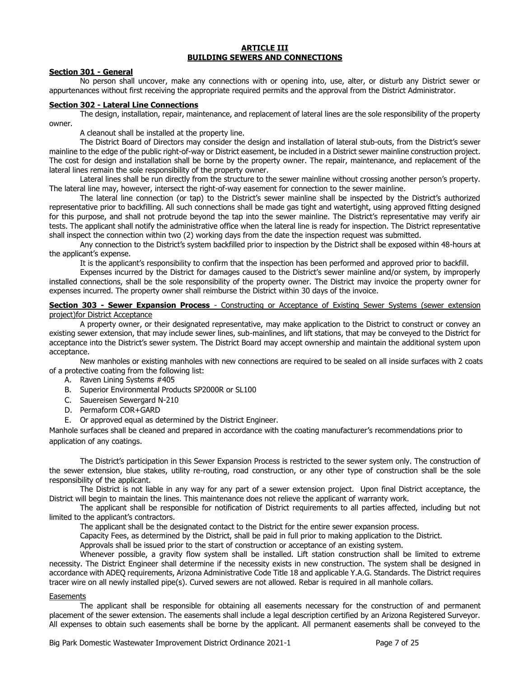#### **ARTICLE III BUILDING SEWERS AND CONNECTIONS**

### **Section 301 - General**

No person shall uncover, make any connections with or opening into, use, alter, or disturb any District sewer or appurtenances without first receiving the appropriate required permits and the approval from the District Administrator.

### **Section 302 - Lateral Line Connections**

The design, installation, repair, maintenance, and replacement of lateral lines are the sole responsibility of the property owner.

A cleanout shall be installed at the property line.

The District Board of Directors may consider the design and installation of lateral stub-outs, from the District's sewer mainline to the edge of the public right-of-way or District easement, be included in a District sewer mainline construction project. The cost for design and installation shall be borne by the property owner. The repair, maintenance, and replacement of the lateral lines remain the sole responsibility of the property owner.

Lateral lines shall be run directly from the structure to the sewer mainline without crossing another person's property. The lateral line may, however, intersect the right-of-way easement for connection to the sewer mainline.

The lateral line connection (or tap) to the District's sewer mainline shall be inspected by the District's authorized representative prior to backfilling. All such connections shall be made gas tight and watertight, using approved fitting designed for this purpose, and shall not protrude beyond the tap into the sewer mainline. The District's representative may verify air tests. The applicant shall notify the administrative office when the lateral line is ready for inspection. The District representative shall inspect the connection within two (2) working days from the date the inspection request was submitted.

Any connection to the District's system backfilled prior to inspection by the District shall be exposed within 48-hours at the applicant's expense.

It is the applicant's responsibility to confirm that the inspection has been performed and approved prior to backfill.

Expenses incurred by the District for damages caused to the District's sewer mainline and/or system, by improperly installed connections, shall be the sole responsibility of the property owner. The District may invoice the property owner for expenses incurred. The property owner shall reimburse the District within 30 days of the invoice.

### **Section 303 - Sewer Expansion Process** - Constructing or Acceptance of Existing Sewer Systems (sewer extension project)for District Acceptance

A property owner, or their designated representative, may make application to the District to construct or convey an existing sewer extension, that may include sewer lines, sub-mainlines, and lift stations, that may be conveyed to the District for acceptance into the District's sewer system. The District Board may accept ownership and maintain the additional system upon acceptance.

New manholes or existing manholes with new connections are required to be sealed on all inside surfaces with 2 coats of a protective coating from the following list:

- A. Raven Lining Systems #405
- B. Superior Environmental Products SP2000R or SL100
- C. Sauereisen Sewergard N-210
- D. Permaform COR+GARD
- E. Or approved equal as determined by the District Engineer.

Manhole surfaces shall be cleaned and prepared in accordance with the coating manufacturer's recommendations prior to application of any coatings.

The District's participation in this Sewer Expansion Process is restricted to the sewer system only. The construction of the sewer extension, blue stakes, utility re-routing, road construction, or any other type of construction shall be the sole responsibility of the applicant.

The District is not liable in any way for any part of a sewer extension project. Upon final District acceptance, the District will begin to maintain the lines. This maintenance does not relieve the applicant of warranty work.

The applicant shall be responsible for notification of District requirements to all parties affected, including but not limited to the applicant's contractors.

The applicant shall be the designated contact to the District for the entire sewer expansion process.

Capacity Fees, as determined by the District, shall be paid in full prior to making application to the District.

Approvals shall be issued prior to the start of construction or acceptance of an existing system.

Whenever possible, a gravity flow system shall be installed. Lift station construction shall be limited to extreme necessity. The District Engineer shall determine if the necessity exists in new construction. The system shall be designed in accordance with ADEQ requirements, Arizona Administrative Code Title 18 and applicable Y.A.G. Standards. The District requires tracer wire on all newly installed pipe(s). Curved sewers are not allowed. Rebar is required in all manhole collars.

### **Easements**

The applicant shall be responsible for obtaining all easements necessary for the construction of and permanent placement of the sewer extension. The easements shall include a legal description certified by an Arizona Registered Surveyor. All expenses to obtain such easements shall be borne by the applicant. All permanent easements shall be conveyed to the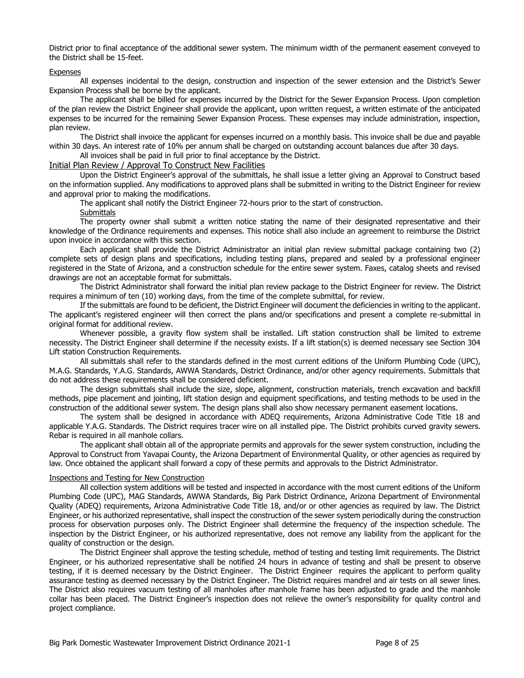District prior to final acceptance of the additional sewer system. The minimum width of the permanent easement conveyed to the District shall be 15-feet.

#### Expenses

All expenses incidental to the design, construction and inspection of the sewer extension and the District's Sewer Expansion Process shall be borne by the applicant.

The applicant shall be billed for expenses incurred by the District for the Sewer Expansion Process. Upon completion of the plan review the District Engineer shall provide the applicant, upon written request, a written estimate of the anticipated expenses to be incurred for the remaining Sewer Expansion Process. These expenses may include administration, inspection, plan review.

The District shall invoice the applicant for expenses incurred on a monthly basis. This invoice shall be due and payable within 30 days. An interest rate of 10% per annum shall be charged on outstanding account balances due after 30 days.

All invoices shall be paid in full prior to final acceptance by the District.

## Initial Plan Review / Approval To Construct New Facilities

Upon the District Engineer's approval of the submittals, he shall issue a letter giving an Approval to Construct based on the information supplied. Any modifications to approved plans shall be submitted in writing to the District Engineer for review and approval prior to making the modifications.

The applicant shall notify the District Engineer 72-hours prior to the start of construction.

**Submittals** 

The property owner shall submit a written notice stating the name of their designated representative and their knowledge of the Ordinance requirements and expenses. This notice shall also include an agreement to reimburse the District upon invoice in accordance with this section.

Each applicant shall provide the District Administrator an initial plan review submittal package containing two (2) complete sets of design plans and specifications, including testing plans, prepared and sealed by a professional engineer registered in the State of Arizona, and a construction schedule for the entire sewer system. Faxes, catalog sheets and revised drawings are not an acceptable format for submittals.

The District Administrator shall forward the initial plan review package to the District Engineer for review. The District requires a minimum of ten (10) working days, from the time of the complete submittal, for review.

If the submittals are found to be deficient, the District Engineer will document the deficiencies in writing to the applicant. The applicant's registered engineer will then correct the plans and/or specifications and present a complete re-submittal in original format for additional review.

Whenever possible, a gravity flow system shall be installed. Lift station construction shall be limited to extreme necessity. The District Engineer shall determine if the necessity exists. If a lift station(s) is deemed necessary see Section 304 Lift station Construction Requirements.

All submittals shall refer to the standards defined in the most current editions of the Uniform Plumbing Code (UPC), M.A.G. Standards, Y.A.G. Standards, AWWA Standards, District Ordinance, and/or other agency requirements. Submittals that do not address these requirements shall be considered deficient.

The design submittals shall include the size, slope, alignment, construction materials, trench excavation and backfill methods, pipe placement and jointing, lift station design and equipment specifications, and testing methods to be used in the construction of the additional sewer system. The design plans shall also show necessary permanent easement locations.

The system shall be designed in accordance with ADEQ requirements, Arizona Administrative Code Title 18 and applicable Y.A.G. Standards. The District requires tracer wire on all installed pipe. The District prohibits curved gravity sewers. Rebar is required in all manhole collars.

The applicant shall obtain all of the appropriate permits and approvals for the sewer system construction, including the Approval to Construct from Yavapai County, the Arizona Department of Environmental Quality, or other agencies as required by law. Once obtained the applicant shall forward a copy of these permits and approvals to the District Administrator.

### Inspections and Testing for New Construction

All collection system additions will be tested and inspected in accordance with the most current editions of the Uniform Plumbing Code (UPC), MAG Standards, AWWA Standards, Big Park District Ordinance, Arizona Department of Environmental Quality (ADEQ) requirements, Arizona Administrative Code Title 18, and/or or other agencies as required by law. The District Engineer, or his authorized representative, shall inspect the construction of the sewer system periodically during the construction process for observation purposes only. The District Engineer shall determine the frequency of the inspection schedule. The inspection by the District Engineer, or his authorized representative, does not remove any liability from the applicant for the quality of construction or the design.

The District Engineer shall approve the testing schedule, method of testing and testing limit requirements. The District Engineer, or his authorized representative shall be notified 24 hours in advance of testing and shall be present to observe testing, if it is deemed necessary by the District Engineer. The District Engineer requires the applicant to perform quality assurance testing as deemed necessary by the District Engineer. The District requires mandrel and air tests on all sewer lines. The District also requires vacuum testing of all manholes after manhole frame has been adjusted to grade and the manhole collar has been placed. The District Engineer's inspection does not relieve the owner's responsibility for quality control and project compliance.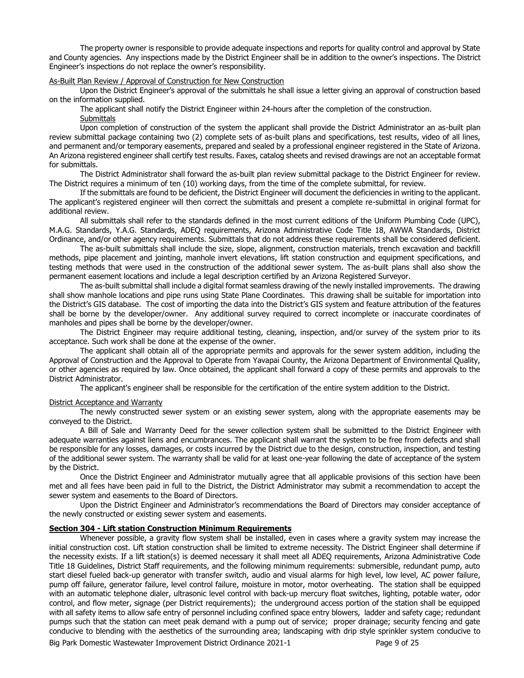The property owner is responsible to provide adequate inspections and reports for quality control and approval by State and County agencies. Any inspections made by the District Engineer shall be in addition to the owner's inspections. The District Engineer's inspections do not replace the owner's responsibility.

#### As-Built Plan Review / Approval of Construction for New Construction

Upon the District Engineer's approval of the submittals he shall issue a letter giving an approval of construction based on the information supplied.

The applicant shall notify the District Engineer within 24-hours after the completion of the construction.

**Submittals** 

Upon completion of construction of the system the applicant shall provide the District Administrator an as-built plan review submittal package containing two (2) complete sets of as-built plans and specifications, test results, video of all lines, and permanent and/or temporary easements, prepared and sealed by a professional engineer registered in the State of Arizona. An Arizona registered engineer shall certify test results. Faxes, catalog sheets and revised drawings are not an acceptable format for submittals.

The District Administrator shall forward the as-built plan review submittal package to the District Engineer for review. The District requires a minimum of ten (10) working days, from the time of the complete submittal, for review.

If the submittals are found to be deficient, the District Engineer will document the deficiencies in writing to the applicant. The applicant's registered engineer will then correct the submittals and present a complete re-submittal in original format for additional review.

All submittals shall refer to the standards defined in the most current editions of the Uniform Plumbing Code (UPC), M.A.G. Standards, Y.A.G. Standards, ADEQ requirements, Arizona Administrative Code Title 18, AWWA Standards, District Ordinance, and/or other agency requirements. Submittals that do not address these requirements shall be considered deficient.

The as-built submittals shall include the size, slope, alignment, construction materials, trench excavation and backfill methods, pipe placement and jointing, manhole invert elevations, lift station construction and equipment specifications, and testing methods that were used in the construction of the additional sewer system. The as-built plans shall also show the permanent easement locations and include a legal description certified by an Arizona Registered Surveyor.

The as-built submittal shall include a digital format seamless drawing of the newly installed improvements. The drawing shall show manhole locations and pipe runs using State Plane Coordinates. This drawing shall be suitable for importation into the District's GIS database. The cost of importing the data into the District's GIS system and feature attribution of the features shall be borne by the developer/owner. Any additional survey required to correct incomplete or inaccurate coordinates of manholes and pipes shall be borne by the developer/owner.

The District Engineer may require additional testing, cleaning, inspection, and/or survey of the system prior to its acceptance. Such work shall be done at the expense of the owner.

The applicant shall obtain all of the appropriate permits and approvals for the sewer system addition, including the Approval of Construction and the Approval to Operate from Yavapai County, the Arizona Department of Environmental Quality, or other agencies as required by law. Once obtained, the applicant shall forward a copy of these permits and approvals to the District Administrator.

The applicant's engineer shall be responsible for the certification of the entire system addition to the District.

#### District Acceptance and Warranty

The newly constructed sewer system or an existing sewer system, along with the appropriate easements may be conveyed to the District.

A Bill of Sale and Warranty Deed for the sewer collection system shall be submitted to the District Engineer with adequate warranties against liens and encumbrances. The applicant shall warrant the system to be free from defects and shall be responsible for any losses, damages, or costs incurred by the District due to the design, construction, inspection, and testing of the additional sewer system. The warranty shall be valid for at least one-year following the date of acceptance of the system by the District.

Once the District Engineer and Administrator mutually agree that all applicable provisions of this section have been met and all fees have been paid in full to the District, the District Administrator may submit a recommendation to accept the sewer system and easements to the Board of Directors.

Upon the District Engineer and Administrator's recommendations the Board of Directors may consider acceptance of the newly constructed or existing sewer system and easements.

### **Section 304 - Lift station Construction Minimum Requirements**

Whenever possible, a gravity flow system shall be installed, even in cases where a gravity system may increase the initial construction cost. Lift station construction shall be limited to extreme necessity. The District Engineer shall determine if the necessity exists. If a lift station(s) is deemed necessary it shall meet all ADEQ requirements, Arizona Administrative Code Title 18 Guidelines, District Staff requirements, and the following minimum requirements: submersible, redundant pump, auto start diesel fueled back-up generator with transfer switch, audio and visual alarms for high level, low level, AC power failure, pump off failure, generator failure, level control failure, moisture in motor, motor overheating. The station shall be equipped with an automatic telephone dialer, ultrasonic level control with back-up mercury float switches, lighting, potable water, odor control, and flow meter, signage (per District requirements); the underground access portion of the station shall be equipped with all safety items to allow safe entry of personnel including confined space entry blowers, ladder and safety cage; redundant pumps such that the station can meet peak demand with a pump out of service; proper drainage; security fencing and gate conducive to blending with the aesthetics of the surrounding area; landscaping with drip style sprinkler system conducive to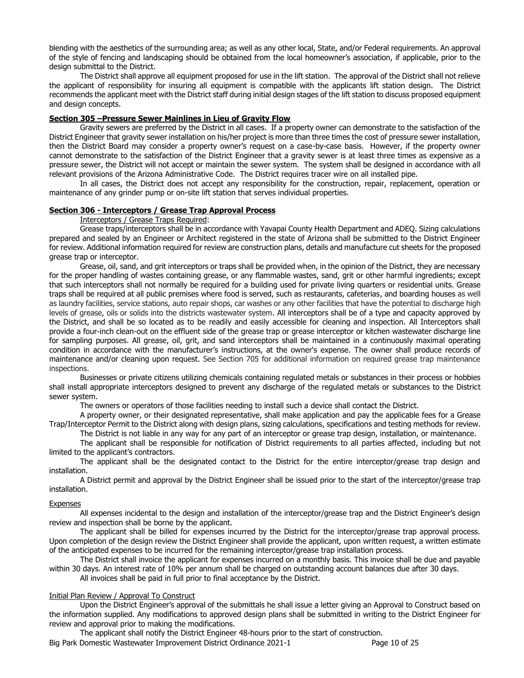blending with the aesthetics of the surrounding area; as well as any other local, State, and/or Federal requirements. An approval of the style of fencing and landscaping should be obtained from the local homeowner's association, if applicable, prior to the design submittal to the District.

The District shall approve all equipment proposed for use in the lift station. The approval of the District shall not relieve the applicant of responsibility for insuring all equipment is compatible with the applicants lift station design. The District recommends the applicant meet with the District staff during initial design stages of the lift station to discuss proposed equipment and design concepts.

## **Section 305 –Pressure Sewer Mainlines in Lieu of Gravity Flow**

Gravity sewers are preferred by the District in all cases. If a property owner can demonstrate to the satisfaction of the District Engineer that gravity sewer installation on his/her project is more than three times the cost of pressure sewer installation, then the District Board may consider a property owner's request on a case-by-case basis. However, if the property owner cannot demonstrate to the satisfaction of the District Engineer that a gravity sewer is at least three times as expensive as a pressure sewer, the District will not accept or maintain the sewer system. The system shall be designed in accordance with all relevant provisions of the Arizona Administrative Code. The District requires tracer wire on all installed pipe.

In all cases, the District does not accept any responsibility for the construction, repair, replacement, operation or maintenance of any grinder pump or on-site lift station that serves individual properties.

### **Section 306 - Interceptors / Grease Trap Approval Process**

Interceptors / Grease Traps Required:

Grease traps/interceptors shall be in accordance with Yavapai County Health Department and ADEQ. Sizing calculations prepared and sealed by an Engineer or Architect registered in the state of Arizona shall be submitted to the District Engineer for review. Additional information required for review are construction plans, details and manufacture cut sheets for the proposed grease trap or interceptor.

Grease, oil, sand, and grit interceptors or traps shall be provided when, in the opinion of the District, they are necessary for the proper handling of wastes containing grease, or any flammable wastes, sand, grit or other harmful ingredients; except that such interceptors shall not normally be required for a building used for private living quarters or residential units. Grease traps shall be required at all public premises where food is served, such as restaurants, cafeterias, and boarding houses as well as laundry facilities, service stations, auto repair shops, car washes or any other facilities that have the potential to discharge high levels of grease, oils or solids into the districts wastewater system. All interceptors shall be of a type and capacity approved by the District, and shall be so located as to be readily and easily accessible for cleaning and inspection. All Interceptors shall provide a four-inch clean-out on the effluent side of the grease trap or grease interceptor or kitchen wastewater discharge line for sampling purposes. All grease, oil, grit, and sand interceptors shall be maintained in a continuously maximal operating condition in accordance with the manufacturer's instructions, at the owner's expense. The owner shall produce records of maintenance and/or cleaning upon request. See Section 705 for additional information on required grease trap maintenance inspections.

Businesses or private citizens utilizing chemicals containing regulated metals or substances in their process or hobbies shall install appropriate interceptors designed to prevent any discharge of the regulated metals or substances to the District sewer system.

The owners or operators of those facilities needing to install such a device shall contact the District.

A property owner, or their designated representative, shall make application and pay the applicable fees for a Grease Trap/Interceptor Permit to the District along with design plans, sizing calculations, specifications and testing methods for review.

The District is not liable in any way for any part of an interceptor or grease trap design, installation, or maintenance. The applicant shall be responsible for notification of District requirements to all parties affected, including but not limited to the applicant's contractors.

The applicant shall be the designated contact to the District for the entire interceptor/grease trap design and installation.

A District permit and approval by the District Engineer shall be issued prior to the start of the interceptor/grease trap installation.

### Expenses

All expenses incidental to the design and installation of the interceptor/grease trap and the District Engineer's design review and inspection shall be borne by the applicant.

The applicant shall be billed for expenses incurred by the District for the interceptor/grease trap approval process. Upon completion of the design review the District Engineer shall provide the applicant, upon written request, a written estimate of the anticipated expenses to be incurred for the remaining interceptor/grease trap installation process.

The District shall invoice the applicant for expenses incurred on a monthly basis. This invoice shall be due and payable within 30 days. An interest rate of 10% per annum shall be charged on outstanding account balances due after 30 days.

All invoices shall be paid in full prior to final acceptance by the District.

### Initial Plan Review / Approval To Construct

Upon the District Engineer's approval of the submittals he shall issue a letter giving an Approval to Construct based on the information supplied. Any modifications to approved design plans shall be submitted in writing to the District Engineer for review and approval prior to making the modifications.

The applicant shall notify the District Engineer 48-hours prior to the start of construction.

Big Park Domestic Wastewater Improvement District Ordinance 2021-1 Page 10 of 25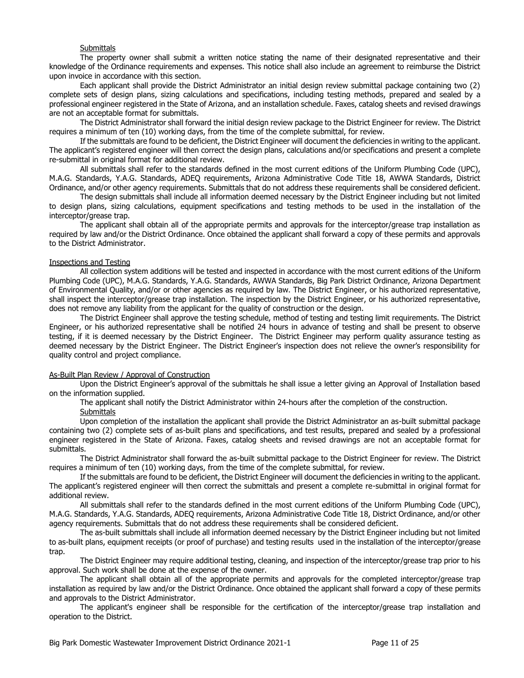#### **Submittals**

The property owner shall submit a written notice stating the name of their designated representative and their knowledge of the Ordinance requirements and expenses. This notice shall also include an agreement to reimburse the District upon invoice in accordance with this section.

Each applicant shall provide the District Administrator an initial design review submittal package containing two (2) complete sets of design plans, sizing calculations and specifications, including testing methods, prepared and sealed by a professional engineer registered in the State of Arizona, and an installation schedule. Faxes, catalog sheets and revised drawings are not an acceptable format for submittals.

The District Administrator shall forward the initial design review package to the District Engineer for review. The District requires a minimum of ten (10) working days, from the time of the complete submittal, for review.

If the submittals are found to be deficient, the District Engineer will document the deficiencies in writing to the applicant. The applicant's registered engineer will then correct the design plans, calculations and/or specifications and present a complete re-submittal in original format for additional review.

All submittals shall refer to the standards defined in the most current editions of the Uniform Plumbing Code (UPC), M.A.G. Standards, Y.A.G. Standards, ADEQ requirements, Arizona Administrative Code Title 18, AWWA Standards, District Ordinance, and/or other agency requirements. Submittals that do not address these requirements shall be considered deficient.

The design submittals shall include all information deemed necessary by the District Engineer including but not limited to design plans, sizing calculations, equipment specifications and testing methods to be used in the installation of the interceptor/grease trap.

The applicant shall obtain all of the appropriate permits and approvals for the interceptor/grease trap installation as required by law and/or the District Ordinance. Once obtained the applicant shall forward a copy of these permits and approvals to the District Administrator.

#### Inspections and Testing

All collection system additions will be tested and inspected in accordance with the most current editions of the Uniform Plumbing Code (UPC), M.A.G. Standards, Y.A.G. Standards, AWWA Standards, Big Park District Ordinance, Arizona Department of Environmental Quality, and/or or other agencies as required by law. The District Engineer, or his authorized representative, shall inspect the interceptor/grease trap installation. The inspection by the District Engineer, or his authorized representative, does not remove any liability from the applicant for the quality of construction or the design.

The District Engineer shall approve the testing schedule, method of testing and testing limit requirements. The District Engineer, or his authorized representative shall be notified 24 hours in advance of testing and shall be present to observe testing, if it is deemed necessary by the District Engineer. The District Engineer may perform quality assurance testing as deemed necessary by the District Engineer. The District Engineer's inspection does not relieve the owner's responsibility for quality control and project compliance.

### As-Built Plan Review / Approval of Construction

Upon the District Engineer's approval of the submittals he shall issue a letter giving an Approval of Installation based on the information supplied.

The applicant shall notify the District Administrator within 24-hours after the completion of the construction.

#### **Submittals**

Upon completion of the installation the applicant shall provide the District Administrator an as-built submittal package containing two (2) complete sets of as-built plans and specifications, and test results, prepared and sealed by a professional engineer registered in the State of Arizona. Faxes, catalog sheets and revised drawings are not an acceptable format for submittals.

The District Administrator shall forward the as-built submittal package to the District Engineer for review. The District requires a minimum of ten (10) working days, from the time of the complete submittal, for review.

If the submittals are found to be deficient, the District Engineer will document the deficiencies in writing to the applicant. The applicant's registered engineer will then correct the submittals and present a complete re-submittal in original format for additional review.

All submittals shall refer to the standards defined in the most current editions of the Uniform Plumbing Code (UPC), M.A.G. Standards, Y.A.G. Standards, ADEQ requirements, Arizona Administrative Code Title 18, District Ordinance, and/or other agency requirements. Submittals that do not address these requirements shall be considered deficient.

The as-built submittals shall include all information deemed necessary by the District Engineer including but not limited to as-built plans, equipment receipts (or proof of purchase) and testing results used in the installation of the interceptor/grease trap.

The District Engineer may require additional testing, cleaning, and inspection of the interceptor/grease trap prior to his approval. Such work shall be done at the expense of the owner.

The applicant shall obtain all of the appropriate permits and approvals for the completed interceptor/grease trap installation as required by law and/or the District Ordinance. Once obtained the applicant shall forward a copy of these permits and approvals to the District Administrator.

The applicant's engineer shall be responsible for the certification of the interceptor/grease trap installation and operation to the District.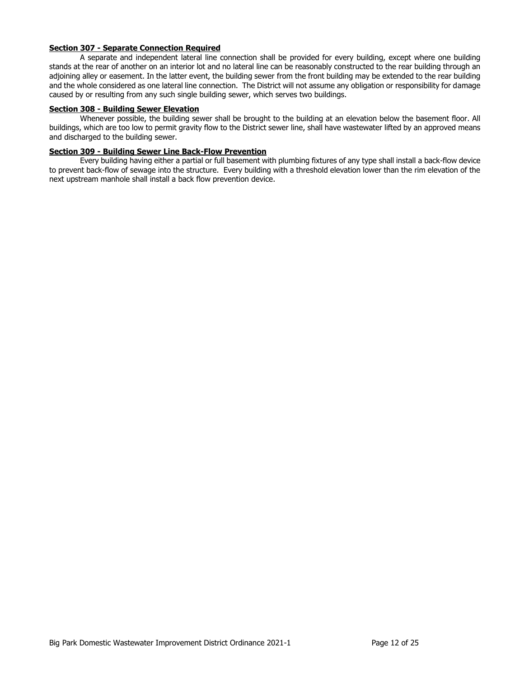## **Section 307 - Separate Connection Required**

A separate and independent lateral line connection shall be provided for every building, except where one building stands at the rear of another on an interior lot and no lateral line can be reasonably constructed to the rear building through an adjoining alley or easement. In the latter event, the building sewer from the front building may be extended to the rear building and the whole considered as one lateral line connection. The District will not assume any obligation or responsibility for damage caused by or resulting from any such single building sewer, which serves two buildings.

## **Section 308 - Building Sewer Elevation**

Whenever possible, the building sewer shall be brought to the building at an elevation below the basement floor. All buildings, which are too low to permit gravity flow to the District sewer line, shall have wastewater lifted by an approved means and discharged to the building sewer.

## **Section 309 - Building Sewer Line Back-Flow Prevention**

Every building having either a partial or full basement with plumbing fixtures of any type shall install a back-flow device to prevent back-flow of sewage into the structure. Every building with a threshold elevation lower than the rim elevation of the next upstream manhole shall install a back flow prevention device.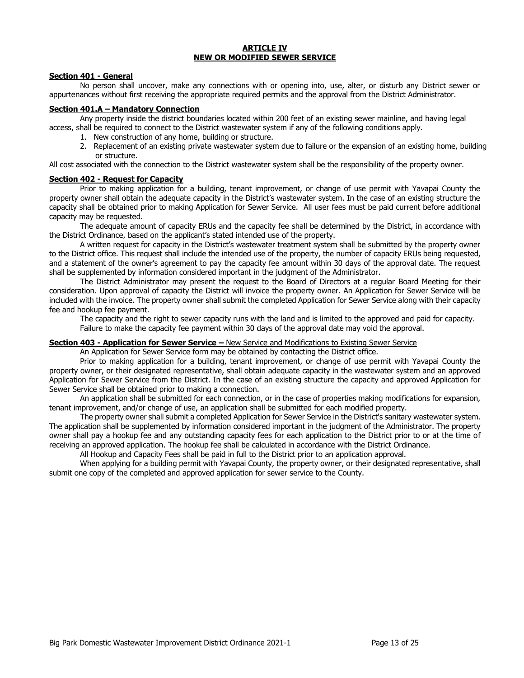### **ARTICLE IV NEW OR MODIFIED SEWER SERVICE**

### **Section 401 - General**

No person shall uncover, make any connections with or opening into, use, alter, or disturb any District sewer or appurtenances without first receiving the appropriate required permits and the approval from the District Administrator.

### **Section 401.A – Mandatory Connection**

Any property inside the district boundaries located within 200 feet of an existing sewer mainline, and having legal access, shall be required to connect to the District wastewater system if any of the following conditions apply.

- 1. New construction of any home, building or structure.
- 2. Replacement of an existing private wastewater system due to failure or the expansion of an existing home, building or structure.

All cost associated with the connection to the District wastewater system shall be the responsibility of the property owner.

#### **Section 402 - Request for Capacity**

Prior to making application for a building, tenant improvement, or change of use permit with Yavapai County the property owner shall obtain the adequate capacity in the District's wastewater system. In the case of an existing structure the capacity shall be obtained prior to making Application for Sewer Service. All user fees must be paid current before additional capacity may be requested.

The adequate amount of capacity ERUs and the capacity fee shall be determined by the District, in accordance with the District Ordinance, based on the applicant's stated intended use of the property.

A written request for capacity in the District's wastewater treatment system shall be submitted by the property owner to the District office. This request shall include the intended use of the property, the number of capacity ERUs being requested, and a statement of the owner's agreement to pay the capacity fee amount within 30 days of the approval date. The request shall be supplemented by information considered important in the judgment of the Administrator.

The District Administrator may present the request to the Board of Directors at a regular Board Meeting for their consideration. Upon approval of capacity the District will invoice the property owner. An Application for Sewer Service will be included with the invoice. The property owner shall submit the completed Application for Sewer Service along with their capacity fee and hookup fee payment.

The capacity and the right to sewer capacity runs with the land and is limited to the approved and paid for capacity. Failure to make the capacity fee payment within 30 days of the approval date may void the approval.

### **Section 403 - Application for Sewer Service –** New Service and Modifications to Existing Sewer Service

An Application for Sewer Service form may be obtained by contacting the District office.

Prior to making application for a building, tenant improvement, or change of use permit with Yavapai County the property owner, or their designated representative, shall obtain adequate capacity in the wastewater system and an approved Application for Sewer Service from the District. In the case of an existing structure the capacity and approved Application for Sewer Service shall be obtained prior to making a connection.

An application shall be submitted for each connection, or in the case of properties making modifications for expansion, tenant improvement, and/or change of use, an application shall be submitted for each modified property.

The property owner shall submit a completed Application for Sewer Service in the District's sanitary wastewater system. The application shall be supplemented by information considered important in the judgment of the Administrator. The property owner shall pay a hookup fee and any outstanding capacity fees for each application to the District prior to or at the time of receiving an approved application. The hookup fee shall be calculated in accordance with the District Ordinance.

All Hookup and Capacity Fees shall be paid in full to the District prior to an application approval.

When applying for a building permit with Yavapai County, the property owner, or their designated representative, shall submit one copy of the completed and approved application for sewer service to the County.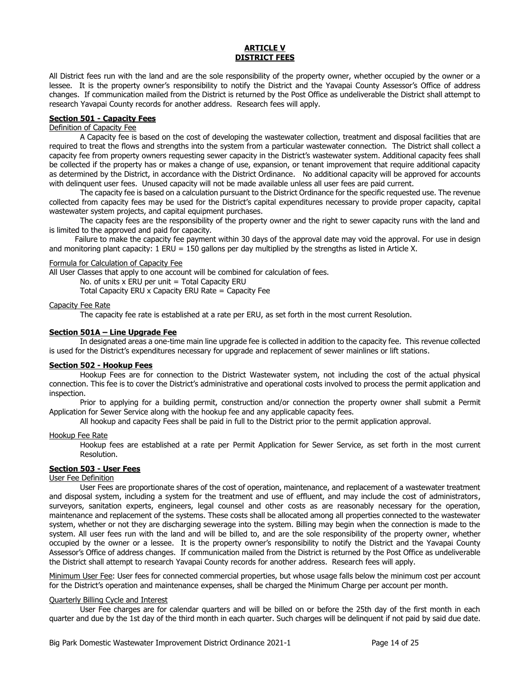### **ARTICLE V DISTRICT FEES**

All District fees run with the land and are the sole responsibility of the property owner, whether occupied by the owner or a lessee. It is the property owner's responsibility to notify the District and the Yavapai County Assessor's Office of address changes. If communication mailed from the District is returned by the Post Office as undeliverable the District shall attempt to research Yavapai County records for another address. Research fees will apply.

## **Section 501 - Capacity Fees**

## Definition of Capacity Fee

A Capacity fee is based on the cost of developing the wastewater collection, treatment and disposal facilities that are required to treat the flows and strengths into the system from a particular wastewater connection. The District shall collect a capacity fee from property owners requesting sewer capacity in the District's wastewater system. Additional capacity fees shall be collected if the property has or makes a change of use, expansion, or tenant improvement that require additional capacity as determined by the District, in accordance with the District Ordinance. No additional capacity will be approved for accounts with delinquent user fees. Unused capacity will not be made available unless all user fees are paid current.

The capacity fee is based on a calculation pursuant to the District Ordinance for the specific requested use. The revenue collected from capacity fees may be used for the District's capital expenditures necessary to provide proper capacity, capital wastewater system projects, and capital equipment purchases.

The capacity fees are the responsibility of the property owner and the right to sewer capacity runs with the land and is limited to the approved and paid for capacity.

Failure to make the capacity fee payment within 30 days of the approval date may void the approval. For use in design and monitoring plant capacity: 1 ERU = 150 gallons per day multiplied by the strengths as listed in Article X.

#### Formula for Calculation of Capacity Fee

All User Classes that apply to one account will be combined for calculation of fees.

No. of units  $x$  ERU per unit = Total Capacity ERU

Total Capacity ERU  $x$  Capacity ERU Rate = Capacity Fee

### Capacity Fee Rate

The capacity fee rate is established at a rate per ERU, as set forth in the most current Resolution.

### **Section 501A – Line Upgrade Fee**

In designated areas a one-time main line upgrade fee is collected in addition to the capacity fee. This revenue collected is used for the District's expenditures necessary for upgrade and replacement of sewer mainlines or lift stations.

### **Section 502 - Hookup Fees**

Hookup Fees are for connection to the District Wastewater system, not including the cost of the actual physical connection. This fee is to cover the District's administrative and operational costs involved to process the permit application and inspection.

Prior to applying for a building permit, construction and/or connection the property owner shall submit a Permit Application for Sewer Service along with the hookup fee and any applicable capacity fees.

All hookup and capacity Fees shall be paid in full to the District prior to the permit application approval.

#### Hookup Fee Rate

Hookup fees are established at a rate per Permit Application for Sewer Service, as set forth in the most current Resolution.

## **Section 503 - User Fees**

## User Fee Definition

User Fees are proportionate shares of the cost of operation, maintenance, and replacement of a wastewater treatment and disposal system, including a system for the treatment and use of effluent, and may include the cost of administrators, surveyors, sanitation experts, engineers, legal counsel and other costs as are reasonably necessary for the operation, maintenance and replacement of the systems. These costs shall be allocated among all properties connected to the wastewater system, whether or not they are discharging sewerage into the system. Billing may begin when the connection is made to the system. All user fees run with the land and will be billed to, and are the sole responsibility of the property owner, whether occupied by the owner or a lessee. It is the property owner's responsibility to notify the District and the Yavapai County Assessor's Office of address changes. If communication mailed from the District is returned by the Post Office as undeliverable the District shall attempt to research Yavapai County records for another address. Research fees will apply.

Minimum User Fee: User fees for connected commercial properties, but whose usage falls below the minimum cost per account for the District's operation and maintenance expenses, shall be charged the Minimum Charge per account per month.

#### Quarterly Billing Cycle and Interest

User Fee charges are for calendar quarters and will be billed on or before the 25th day of the first month in each quarter and due by the 1st day of the third month in each quarter. Such charges will be delinquent if not paid by said due date.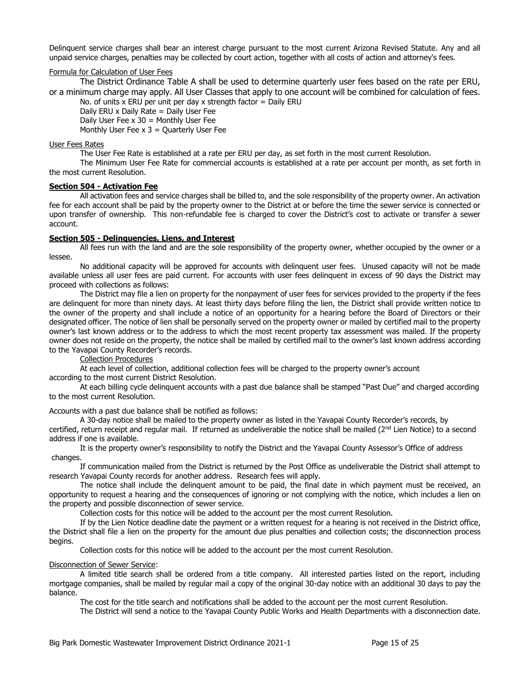Delinquent service charges shall bear an interest charge pursuant to the most current Arizona Revised Statute. Any and all unpaid service charges, penalties may be collected by court action, together with all costs of action and attorney's fees.

### Formula for Calculation of User Fees

The District Ordinance Table A shall be used to determine quarterly user fees based on the rate per ERU, or a minimum charge may apply. All User Classes that apply to one account will be combined for calculation of fees.

No. of units x ERU per unit per day x strength factor  $=$  Daily ERU

Daily ERU x Daily Rate = Daily User Fee

Daily User Fee  $x$  30 = Monthly User Fee

Monthly User Fee  $x$  3 = Quarterly User Fee

### User Fees Rates

The User Fee Rate is established at a rate per ERU per day, as set forth in the most current Resolution.

The Minimum User Fee Rate for commercial accounts is established at a rate per account per month, as set forth in the most current Resolution.

### **Section 504 - Activation Fee**

All activation fees and service charges shall be billed to, and the sole responsibility of the property owner. An activation fee for each account shall be paid by the property owner to the District at or before the time the sewer service is connected or upon transfer of ownership. This non-refundable fee is charged to cover the District's cost to activate or transfer a sewer account.

### **Section 505 - Delinquencies, Liens, and Interest**

All fees run with the land and are the sole responsibility of the property owner, whether occupied by the owner or a lessee.

No additional capacity will be approved for accounts with delinquent user fees. Unused capacity will not be made available unless all user fees are paid current. For accounts with user fees delinquent in excess of 90 days the District may proceed with collections as follows:

The District may file a lien on property for the nonpayment of user fees for services provided to the property if the fees are delinquent for more than ninety days. At least thirty days before filing the lien, the District shall provide written notice to the owner of the property and shall include a notice of an opportunity for a hearing before the Board of Directors or their designated officer. The notice of lien shall be personally served on the property owner or mailed by certified mail to the property owner's last known address or to the address to which the most recent property tax assessment was mailed. If the property owner does not reside on the property, the notice shall be mailed by certified mail to the owner's last known address according to the Yavapai County Recorder's records.

### Collection Procedures

At each level of collection, additional collection fees will be charged to the property owner's account according to the most current District Resolution.

At each billing cycle delinquent accounts with a past due balance shall be stamped "Past Due" and charged according to the most current Resolution.

Accounts with a past due balance shall be notified as follows:

A 30-day notice shall be mailed to the property owner as listed in the Yavapai County Recorder's records, by certified, return receipt and regular mail. If returned as undeliverable the notice shall be mailed ( $2<sup>nd</sup>$  Lien Notice) to a second address if one is available.

It is the property owner's responsibility to notify the District and the Yavapai County Assessor's Office of address changes.

If communication mailed from the District is returned by the Post Office as undeliverable the District shall attempt to research Yavapai County records for another address. Research fees will apply.

The notice shall include the delinquent amount to be paid, the final date in which payment must be received, an opportunity to request a hearing and the consequences of ignoring or not complying with the notice, which includes a lien on the property and possible disconnection of sewer service.

Collection costs for this notice will be added to the account per the most current Resolution.

If by the Lien Notice deadline date the payment or a written request for a hearing is not received in the District office, the District shall file a lien on the property for the amount due plus penalties and collection costs; the disconnection process begins.

Collection costs for this notice will be added to the account per the most current Resolution.

### Disconnection of Sewer Service:

A limited title search shall be ordered from a title company. All interested parties listed on the report, including mortgage companies, shall be mailed by regular mail a copy of the original 30-day notice with an additional 30 days to pay the balance.

The cost for the title search and notifications shall be added to the account per the most current Resolution.

The District will send a notice to the Yavapai County Public Works and Health Departments with a disconnection date.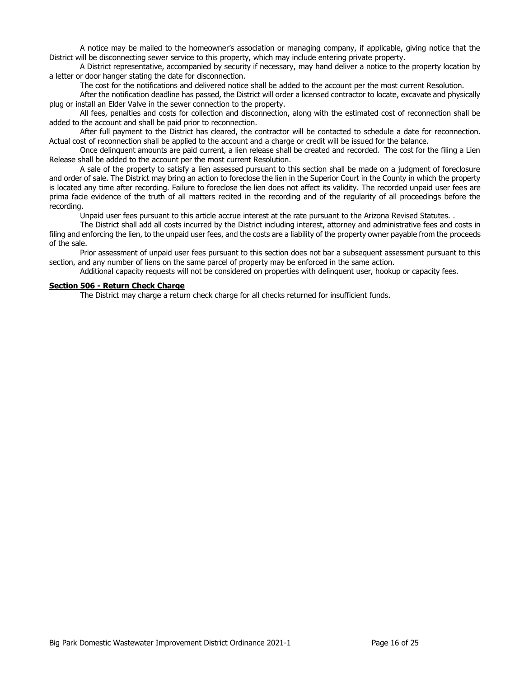A notice may be mailed to the homeowner's association or managing company, if applicable, giving notice that the District will be disconnecting sewer service to this property, which may include entering private property.

A District representative, accompanied by security if necessary, may hand deliver a notice to the property location by a letter or door hanger stating the date for disconnection.

The cost for the notifications and delivered notice shall be added to the account per the most current Resolution.

After the notification deadline has passed, the District will order a licensed contractor to locate, excavate and physically plug or install an Elder Valve in the sewer connection to the property.

All fees, penalties and costs for collection and disconnection, along with the estimated cost of reconnection shall be added to the account and shall be paid prior to reconnection.

After full payment to the District has cleared, the contractor will be contacted to schedule a date for reconnection. Actual cost of reconnection shall be applied to the account and a charge or credit will be issued for the balance.

Once delinquent amounts are paid current, a lien release shall be created and recorded. The cost for the filing a Lien Release shall be added to the account per the most current Resolution.

A sale of the property to satisfy a lien assessed pursuant to this section shall be made on a judgment of foreclosure and order of sale. The District may bring an action to foreclose the lien in the Superior Court in the County in which the property is located any time after recording. Failure to foreclose the lien does not affect its validity. The recorded unpaid user fees are prima facie evidence of the truth of all matters recited in the recording and of the regularity of all proceedings before the recording.

Unpaid user fees pursuant to this article accrue interest at the rate pursuant to the Arizona Revised Statutes. .

The District shall add all costs incurred by the District including interest, attorney and administrative fees and costs in filing and enforcing the lien, to the unpaid user fees, and the costs are a liability of the property owner payable from the proceeds of the sale.

Prior assessment of unpaid user fees pursuant to this section does not bar a subsequent assessment pursuant to this section, and any number of liens on the same parcel of property may be enforced in the same action.

Additional capacity requests will not be considered on properties with delinquent user, hookup or capacity fees.

#### **Section 506 - Return Check Charge**

The District may charge a return check charge for all checks returned for insufficient funds.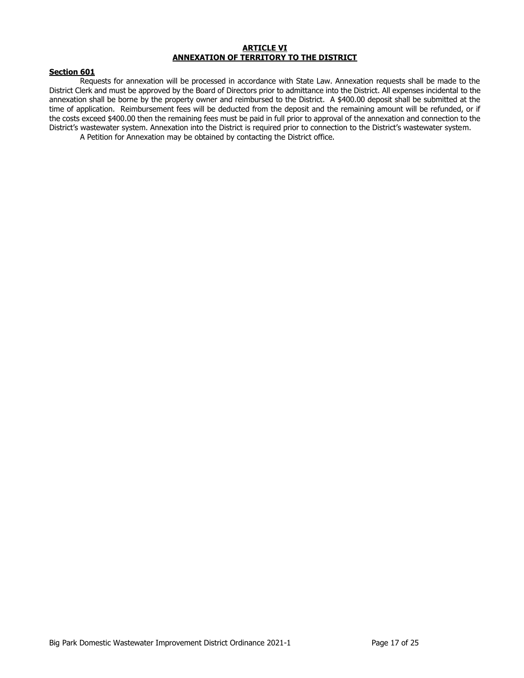### **ARTICLE VI ANNEXATION OF TERRITORY TO THE DISTRICT**

### **Section 601**

Requests for annexation will be processed in accordance with State Law. Annexation requests shall be made to the District Clerk and must be approved by the Board of Directors prior to admittance into the District. All expenses incidental to the annexation shall be borne by the property owner and reimbursed to the District. A \$400.00 deposit shall be submitted at the time of application. Reimbursement fees will be deducted from the deposit and the remaining amount will be refunded, or if the costs exceed \$400.00 then the remaining fees must be paid in full prior to approval of the annexation and connection to the District's wastewater system. Annexation into the District is required prior to connection to the District's wastewater system.

A Petition for Annexation may be obtained by contacting the District office.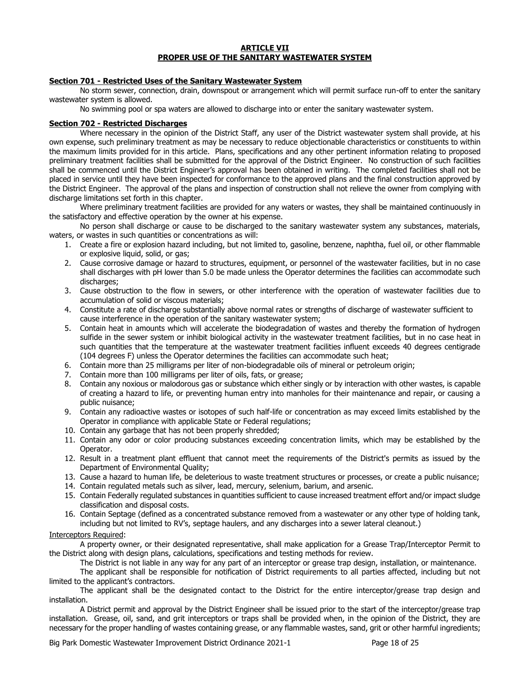#### **ARTICLE VII PROPER USE OF THE SANITARY WASTEWATER SYSTEM**

### **Section 701 - Restricted Uses of the Sanitary Wastewater System**

No storm sewer, connection, drain, downspout or arrangement which will permit surface run-off to enter the sanitary wastewater system is allowed.

No swimming pool or spa waters are allowed to discharge into or enter the sanitary wastewater system.

### **Section 702 - Restricted Discharges**

Where necessary in the opinion of the District Staff, any user of the District wastewater system shall provide, at his own expense, such preliminary treatment as may be necessary to reduce objectionable characteristics or constituents to within the maximum limits provided for in this article. Plans, specifications and any other pertinent information relating to proposed preliminary treatment facilities shall be submitted for the approval of the District Engineer. No construction of such facilities shall be commenced until the District Engineer's approval has been obtained in writing. The completed facilities shall not be placed in service until they have been inspected for conformance to the approved plans and the final construction approved by the District Engineer. The approval of the plans and inspection of construction shall not relieve the owner from complying with discharge limitations set forth in this chapter.

Where preliminary treatment facilities are provided for any waters or wastes, they shall be maintained continuously in the satisfactory and effective operation by the owner at his expense.

No person shall discharge or cause to be discharged to the sanitary wastewater system any substances, materials, waters, or wastes in such quantities or concentrations as will:

- 1. Create a fire or explosion hazard including, but not limited to, gasoline, benzene, naphtha, fuel oil, or other flammable or explosive liquid, solid, or gas;
- 2. Cause corrosive damage or hazard to structures, equipment, or personnel of the wastewater facilities, but in no case shall discharges with pH lower than 5.0 be made unless the Operator determines the facilities can accommodate such discharges;
- 3. Cause obstruction to the flow in sewers, or other interference with the operation of wastewater facilities due to accumulation of solid or viscous materials;
- 4. Constitute a rate of discharge substantially above normal rates or strengths of discharge of wastewater sufficient to cause interference in the operation of the sanitary wastewater system;
- 5. Contain heat in amounts which will accelerate the biodegradation of wastes and thereby the formation of hydrogen sulfide in the sewer system or inhibit biological activity in the wastewater treatment facilities, but in no case heat in such quantities that the temperature at the wastewater treatment facilities influent exceeds 40 degrees centigrade (104 degrees F) unless the Operator determines the facilities can accommodate such heat;
- 6. Contain more than 25 milligrams per liter of non-biodegradable oils of mineral or petroleum origin;
- 7. Contain more than 100 milligrams per liter of oils, fats, or grease;
- 8. Contain any noxious or malodorous gas or substance which either singly or by interaction with other wastes, is capable of creating a hazard to life, or preventing human entry into manholes for their maintenance and repair, or causing a public nuisance;
- 9. Contain any radioactive wastes or isotopes of such half-life or concentration as may exceed limits established by the Operator in compliance with applicable State or Federal regulations;
- 10. Contain any garbage that has not been properly shredded;
- 11. Contain any odor or color producing substances exceeding concentration limits, which may be established by the Operator.
- 12. Result in a treatment plant effluent that cannot meet the requirements of the District's permits as issued by the Department of Environmental Quality;
- 13. Cause a hazard to human life, be deleterious to waste treatment structures or processes, or create a public nuisance;
- 14. Contain regulated metals such as silver, lead, mercury, selenium, barium, and arsenic.
- 15. Contain Federally regulated substances in quantities sufficient to cause increased treatment effort and/or impact sludge classification and disposal costs.
- 16. Contain Septage (defined as a concentrated substance removed from a wastewater or any other type of holding tank, including but not limited to RV's, septage haulers, and any discharges into a sewer lateral cleanout.)

### Interceptors Required:

A property owner, or their designated representative, shall make application for a Grease Trap/Interceptor Permit to the District along with design plans, calculations, specifications and testing methods for review.

The District is not liable in any way for any part of an interceptor or grease trap design, installation, or maintenance.

The applicant shall be responsible for notification of District requirements to all parties affected, including but not limited to the applicant's contractors.

The applicant shall be the designated contact to the District for the entire interceptor/grease trap design and installation.

A District permit and approval by the District Engineer shall be issued prior to the start of the interceptor/grease trap installation. Grease, oil, sand, and grit interceptors or traps shall be provided when, in the opinion of the District, they are necessary for the proper handling of wastes containing grease, or any flammable wastes, sand, grit or other harmful ingredients;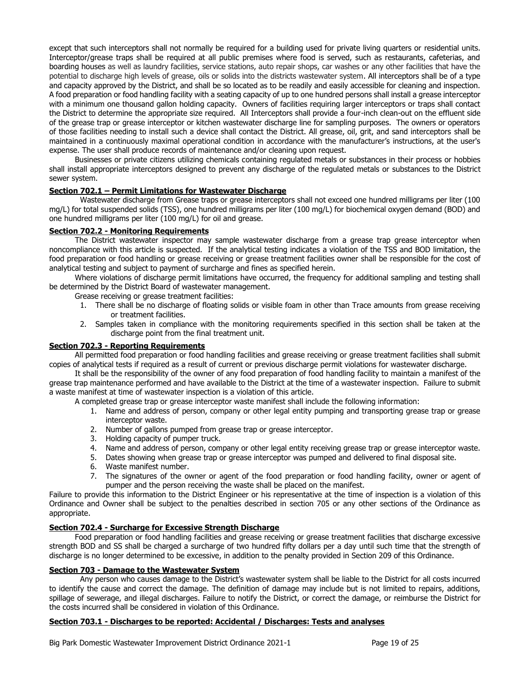except that such interceptors shall not normally be required for a building used for private living quarters or residential units. Interceptor/grease traps shall be required at all public premises where food is served, such as restaurants, cafeterias, and boarding houses as well as laundry facilities, service stations, auto repair shops, car washes or any other facilities that have the potential to discharge high levels of grease, oils or solids into the districts wastewater system. All interceptors shall be of a type and capacity approved by the District, and shall be so located as to be readily and easily accessible for cleaning and inspection. A food preparation or food handling facility with a seating capacity of up to one hundred persons shall install a grease interceptor with a minimum one thousand gallon holding capacity. Owners of facilities requiring larger interceptors or traps shall contact the District to determine the appropriate size required. All Interceptors shall provide a four-inch clean-out on the effluent side of the grease trap or grease interceptor or kitchen wastewater discharge line for sampling purposes. The owners or operators of those facilities needing to install such a device shall contact the District. All grease, oil, grit, and sand interceptors shall be maintained in a continuously maximal operational condition in accordance with the manufacturer's instructions, at the user's expense. The user shall produce records of maintenance and/or cleaning upon request.

Businesses or private citizens utilizing chemicals containing regulated metals or substances in their process or hobbies shall install appropriate interceptors designed to prevent any discharge of the regulated metals or substances to the District sewer system.

### **Section 702.1 – Permit Limitations for Wastewater Discharge**

Wastewater discharge from Grease traps or grease interceptors shall not exceed one hundred milligrams per liter (100 mg/L) for total suspended solids (TSS), one hundred milligrams per liter (100 mg/L) for biochemical oxygen demand (BOD) and one hundred milligrams per liter (100 mg/L) for oil and grease.

### **Section 702.2 - Monitoring Requirements**

The District wastewater inspector may sample wastewater discharge from a grease trap grease interceptor when noncompliance with this article is suspected. If the analytical testing indicates a violation of the TSS and BOD limitation, the food preparation or food handling or grease receiving or grease treatment facilities owner shall be responsible for the cost of analytical testing and subject to payment of surcharge and fines as specified herein.

Where violations of discharge permit limitations have occurred, the frequency for additional sampling and testing shall be determined by the District Board of wastewater management.

Grease receiving or grease treatment facilities:

- 1. There shall be no discharge of floating solids or visible foam in other than Trace amounts from grease receiving or treatment facilities.
- 2. Samples taken in compliance with the monitoring requirements specified in this section shall be taken at the discharge point from the final treatment unit.

### **Section 702.3 - Reporting Requirements**

All permitted food preparation or food handling facilities and grease receiving or grease treatment facilities shall submit copies of analytical tests if required as a result of current or previous discharge permit violations for wastewater discharge.

It shall be the responsibility of the owner of any food preparation of food handling facility to maintain a manifest of the grease trap maintenance performed and have available to the District at the time of a wastewater inspection. Failure to submit a waste manifest at time of wastewater inspection is a violation of this article.

A completed grease trap or grease interceptor waste manifest shall include the following information:

- 1. Name and address of person, company or other legal entity pumping and transporting grease trap or grease interceptor waste.
- 2. Number of gallons pumped from grease trap or grease interceptor.
- 3. Holding capacity of pumper truck.
- 4. Name and address of person, company or other legal entity receiving grease trap or grease interceptor waste.
- 5. Dates showing when grease trap or grease interceptor was pumped and delivered to final disposal site.
- 6. Waste manifest number.
- 7. The signatures of the owner or agent of the food preparation or food handling facility, owner or agent of pumper and the person receiving the waste shall be placed on the manifest.

Failure to provide this information to the District Engineer or his representative at the time of inspection is a violation of this Ordinance and Owner shall be subject to the penalties described in section 705 or any other sections of the Ordinance as appropriate.

## **Section 702.4 - Surcharge for Excessive Strength Discharge**

Food preparation or food handling facilities and grease receiving or grease treatment facilities that discharge excessive strength BOD and SS shall be charged a surcharge of two hundred fifty dollars per a day until such time that the strength of discharge is no longer determined to be excessive, in addition to the penalty provided in Section 209 of this Ordinance.

### **Section 703 - Damage to the Wastewater System**

Any person who causes damage to the District's wastewater system shall be liable to the District for all costs incurred to identify the cause and correct the damage. The definition of damage may include but is not limited to repairs, additions, spillage of sewerage, and illegal discharges. Failure to notify the District, or correct the damage, or reimburse the District for the costs incurred shall be considered in violation of this Ordinance.

### **Section 703.1 - Discharges to be reported: Accidental / Discharges: Tests and analyses**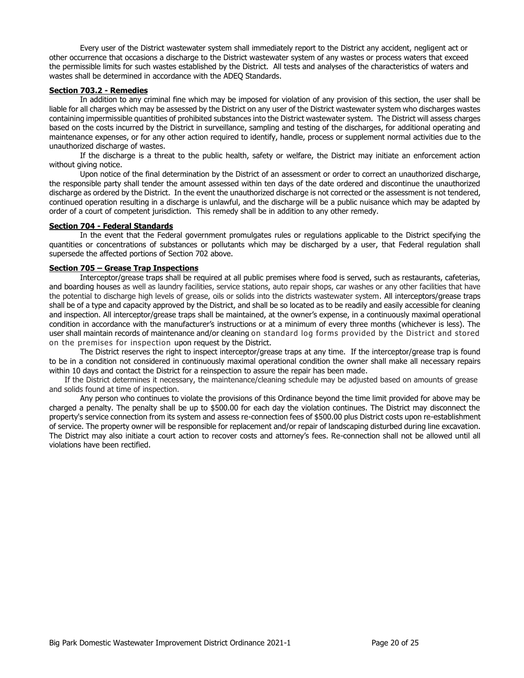Every user of the District wastewater system shall immediately report to the District any accident, negligent act or other occurrence that occasions a discharge to the District wastewater system of any wastes or process waters that exceed the permissible limits for such wastes established by the District. All tests and analyses of the characteristics of waters and wastes shall be determined in accordance with the ADEQ Standards.

### **Section 703.2 - Remedies**

In addition to any criminal fine which may be imposed for violation of any provision of this section, the user shall be liable for all charges which may be assessed by the District on any user of the District wastewater system who discharges wastes containing impermissible quantities of prohibited substances into the District wastewater system. The District will assess charges based on the costs incurred by the District in surveillance, sampling and testing of the discharges, for additional operating and maintenance expenses, or for any other action required to identify, handle, process or supplement normal activities due to the unauthorized discharge of wastes.

If the discharge is a threat to the public health, safety or welfare, the District may initiate an enforcement action without giving notice.

Upon notice of the final determination by the District of an assessment or order to correct an unauthorized discharge, the responsible party shall tender the amount assessed within ten days of the date ordered and discontinue the unauthorized discharge as ordered by the District. In the event the unauthorized discharge is not corrected or the assessment is not tendered, continued operation resulting in a discharge is unlawful, and the discharge will be a public nuisance which may be adapted by order of a court of competent jurisdiction. This remedy shall be in addition to any other remedy.

### **Section 704 - Federal Standards**

In the event that the Federal government promulgates rules or regulations applicable to the District specifying the quantities or concentrations of substances or pollutants which may be discharged by a user, that Federal regulation shall supersede the affected portions of Section 702 above.

### **Section 705 – Grease Trap Inspections**

Interceptor/grease traps shall be required at all public premises where food is served, such as restaurants, cafeterias, and boarding houses as well as laundry facilities, service stations, auto repair shops, car washes or any other facilities that have the potential to discharge high levels of grease, oils or solids into the districts wastewater system. All interceptors/grease traps shall be of a type and capacity approved by the District, and shall be so located as to be readily and easily accessible for cleaning and inspection. All interceptor/grease traps shall be maintained, at the owner's expense, in a continuously maximal operational condition in accordance with the manufacturer's instructions or at a minimum of every three months (whichever is less). The user shall maintain records of maintenance and/or cleaning on standard log forms provided by the District and stored on the premises for inspection upon request by the District.

The District reserves the right to inspect interceptor/grease traps at any time. If the interceptor/grease trap is found to be in a condition not considered in continuously maximal operational condition the owner shall make all necessary repairs within 10 days and contact the District for a reinspection to assure the repair has been made.

If the District determines it necessary, the maintenance/cleaning schedule may be adjusted based on amounts of grease and solids found at time of inspection.

Any person who continues to violate the provisions of this Ordinance beyond the time limit provided for above may be charged a penalty. The penalty shall be up to \$500.00 for each day the violation continues. The District may disconnect the property's service connection from its system and assess re-connection fees of \$500.00 plus District costs upon re-establishment of service. The property owner will be responsible for replacement and/or repair of landscaping disturbed during line excavation. The District may also initiate a court action to recover costs and attorney's fees. Re-connection shall not be allowed until all violations have been rectified.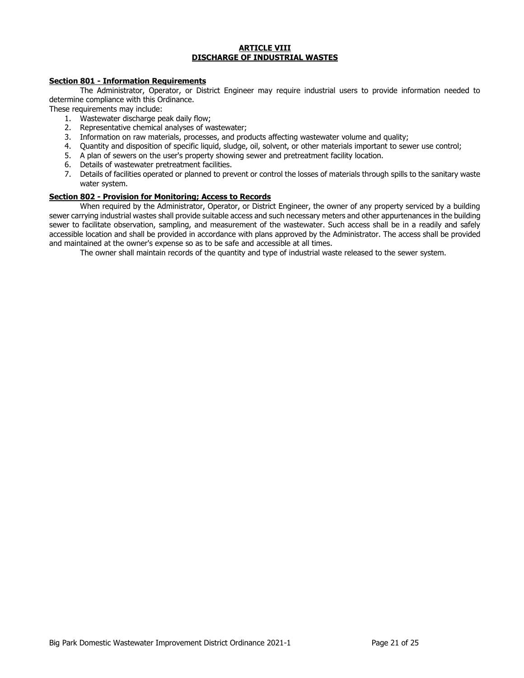### **ARTICLE VIII DISCHARGE OF INDUSTRIAL WASTES**

### **Section 801 - Information Requirements**

The Administrator, Operator, or District Engineer may require industrial users to provide information needed to determine compliance with this Ordinance.

These requirements may include:

- 1. Wastewater discharge peak daily flow;
- 2. Representative chemical analyses of wastewater;
- 3. Information on raw materials, processes, and products affecting wastewater volume and quality;
- 4. Quantity and disposition of specific liquid, sludge, oil, solvent, or other materials important to sewer use control;
- 5. A plan of sewers on the user's property showing sewer and pretreatment facility location.
- 6. Details of wastewater pretreatment facilities.
- 7. Details of facilities operated or planned to prevent or control the losses of materials through spills to the sanitary waste water system.

## **Section 802 - Provision for Monitoring; Access to Records**

When required by the Administrator, Operator, or District Engineer, the owner of any property serviced by a building sewer carrying industrial wastes shall provide suitable access and such necessary meters and other appurtenances in the building sewer to facilitate observation, sampling, and measurement of the wastewater. Such access shall be in a readily and safely accessible location and shall be provided in accordance with plans approved by the Administrator. The access shall be provided and maintained at the owner's expense so as to be safe and accessible at all times.

The owner shall maintain records of the quantity and type of industrial waste released to the sewer system.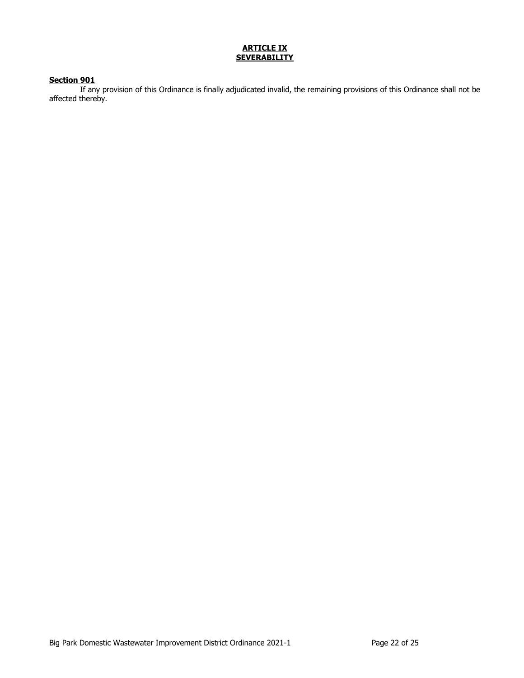## **ARTICLE IX SEVERABILITY**

## **Section 901**

If any provision of this Ordinance is finally adjudicated invalid, the remaining provisions of this Ordinance shall not be affected thereby.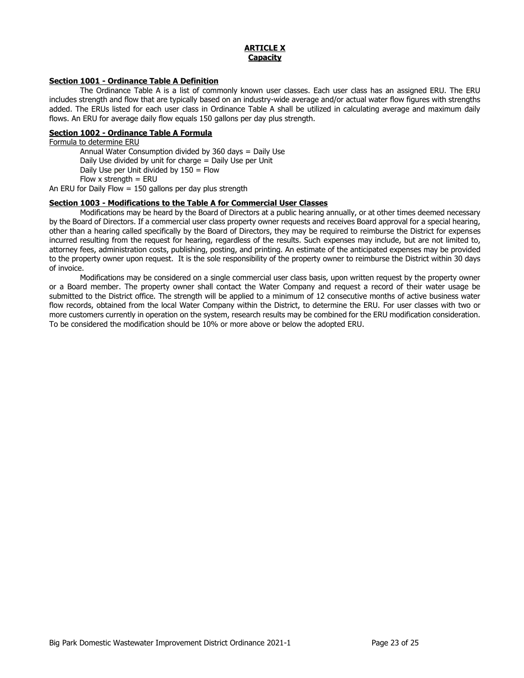### **ARTICLE X Capacity**

### **Section 1001 - Ordinance Table A Definition**

The Ordinance Table A is a list of commonly known user classes. Each user class has an assigned ERU. The ERU includes strength and flow that are typically based on an industry-wide average and/or actual water flow figures with strengths added. The ERUs listed for each user class in Ordinance Table A shall be utilized in calculating average and maximum daily flows. An ERU for average daily flow equals 150 gallons per day plus strength.

## **Section 1002 - Ordinance Table A Formula**

Formula to determine ERU Annual Water Consumption divided by 360 days = Daily Use Daily Use divided by unit for charge = Daily Use per Unit Daily Use per Unit divided by 150 = Flow Flow  $x$  strength = ERU

An ERU for Daily Flow = 150 gallons per day plus strength

### **Section 1003 - Modifications to the Table A for Commercial User Classes**

Modifications may be heard by the Board of Directors at a public hearing annually, or at other times deemed necessary by the Board of Directors. If a commercial user class property owner requests and receives Board approval for a special hearing, other than a hearing called specifically by the Board of Directors, they may be required to reimburse the District for expenses incurred resulting from the request for hearing, regardless of the results. Such expenses may include, but are not limited to, attorney fees, administration costs, publishing, posting, and printing. An estimate of the anticipated expenses may be provided to the property owner upon request. It is the sole responsibility of the property owner to reimburse the District within 30 days of invoice.

Modifications may be considered on a single commercial user class basis, upon written request by the property owner or a Board member. The property owner shall contact the Water Company and request a record of their water usage be submitted to the District office. The strength will be applied to a minimum of 12 consecutive months of active business water flow records, obtained from the local Water Company within the District, to determine the ERU. For user classes with two or more customers currently in operation on the system, research results may be combined for the ERU modification consideration. To be considered the modification should be 10% or more above or below the adopted ERU.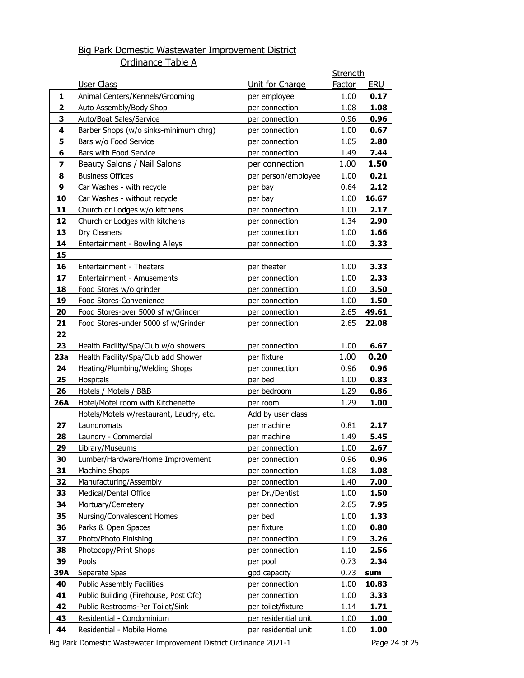# Big Park Domestic Wastewater Improvement District Ordinance Table A

|                         |                                                            |                               | <b>Strength</b> |            |
|-------------------------|------------------------------------------------------------|-------------------------------|-----------------|------------|
|                         | User Class                                                 | Unit for Charge               | <b>Factor</b>   | <b>ERU</b> |
| 1                       | Animal Centers/Kennels/Grooming                            | per employee                  | 1.00            | 0.17       |
| $\overline{2}$          | Auto Assembly/Body Shop                                    | per connection                | 1.08            | 1.08       |
| 3                       | Auto/Boat Sales/Service                                    | per connection                | 0.96            | 0.96       |
| 4                       | Barber Shops (w/o sinks-minimum chrg)                      | per connection                | 1.00            | 0.67       |
| 5                       | Bars w/o Food Service                                      | per connection                | 1.05            | 2.80       |
| 6                       | Bars with Food Service                                     | per connection                | 1.49            | 7.44       |
| $\overline{\mathbf{z}}$ | Beauty Salons / Nail Salons                                | per connection                | 1.00            | 1.50       |
| 8                       | <b>Business Offices</b>                                    | per person/employee           | 1.00            | 0.21       |
| 9                       | Car Washes - with recycle                                  | per bay                       | 0.64            | 2.12       |
| 10                      | Car Washes - without recycle                               | per bay                       | 1.00            | 16.67      |
| 11                      | Church or Lodges w/o kitchens                              | per connection                | 1.00            | 2.17       |
| 12                      | Church or Lodges with kitchens                             | per connection                | 1.34            | 2.90       |
| 13                      | Dry Cleaners                                               | per connection                | 1.00            | 1.66       |
| 14                      | Entertainment - Bowling Alleys                             | per connection                | 1.00            | 3.33       |
| 15                      |                                                            |                               |                 |            |
| 16                      | Entertainment - Theaters                                   | per theater                   | 1.00            | 3.33       |
| 17                      | Entertainment - Amusements                                 | per connection                | 1.00            | 2.33       |
| 18                      | Food Stores w/o grinder                                    | per connection                | 1.00            | 3.50       |
| 19                      | Food Stores-Convenience                                    | per connection                | 1.00            | 1.50       |
| 20                      | Food Stores-over 5000 sf w/Grinder                         | per connection                | 2.65            | 49.61      |
| 21                      | Food Stores-under 5000 sf w/Grinder                        | per connection                | 2.65            | 22.08      |
| 22                      |                                                            |                               |                 |            |
| 23                      | Health Facility/Spa/Club w/o showers                       | per connection                | 1.00            | 6.67       |
| 23a                     | Health Facility/Spa/Club add Shower                        | per fixture                   | 1.00            | 0.20       |
| 24                      | Heating/Plumbing/Welding Shops                             | per connection                | 0.96            | 0.96       |
| 25                      | Hospitals                                                  | per bed                       | 1.00            | 0.83       |
| 26<br><b>26A</b>        | Hotels / Motels / B&B<br>Hotel/Motel room with Kitchenette | per bedroom                   | 1.29            | 0.86       |
|                         | Hotels/Motels w/restaurant, Laudry, etc.                   | per room<br>Add by user class | 1.29            | 1.00       |
| 27                      | Laundromats                                                | per machine                   | 0.81            | 2.17       |
| 28                      | Laundry - Commercial                                       | per machine                   | 1.49            | 5.45       |
| 29                      | Library/Museums                                            | per connection                | 1.00            | 2.67       |
| 30                      | Lumber/Hardware/Home Improvement                           | per connection                | 0.96            | 0.96       |
| 31                      | <b>Machine Shops</b>                                       | per connection                | 1.08            | 1.08       |
| 32                      | Manufacturing/Assembly                                     | per connection                | 1.40            | 7.00       |
| 33                      | Medical/Dental Office                                      | per Dr./Dentist               | 1.00            | 1.50       |
| 34                      | Mortuary/Cemetery                                          | per connection                | 2.65            | 7.95       |
| 35                      | Nursing/Convalescent Homes                                 | per bed                       | 1.00            | 1.33       |
| 36                      | Parks & Open Spaces                                        | per fixture                   | 1.00            | 0.80       |
| 37                      | Photo/Photo Finishing                                      | per connection                | 1.09            | 3.26       |
| 38                      | Photocopy/Print Shops                                      | per connection                | 1.10            | 2.56       |
| 39                      | Pools                                                      | per pool                      | 0.73            | 2.34       |
| 39A                     | Separate Spas                                              | gpd capacity                  | 0.73            | sum        |
| 40                      | <b>Public Assembly Facilities</b>                          | per connection                | 1.00            | 10.83      |
| 41                      | Public Building (Firehouse, Post Ofc)                      | per connection                | 1.00            | 3.33       |
| 42                      | Public Restrooms-Per Toilet/Sink                           | per toilet/fixture            | 1.14            | 1.71       |
| 43                      | Residential - Condominium                                  | per residential unit          | 1.00            | 1.00       |
| 44                      | Residential - Mobile Home                                  | per residential unit          | 1.00            | 1.00       |

Big Park Domestic Wastewater Improvement District Ordinance 2021-1 Page 24 of 25